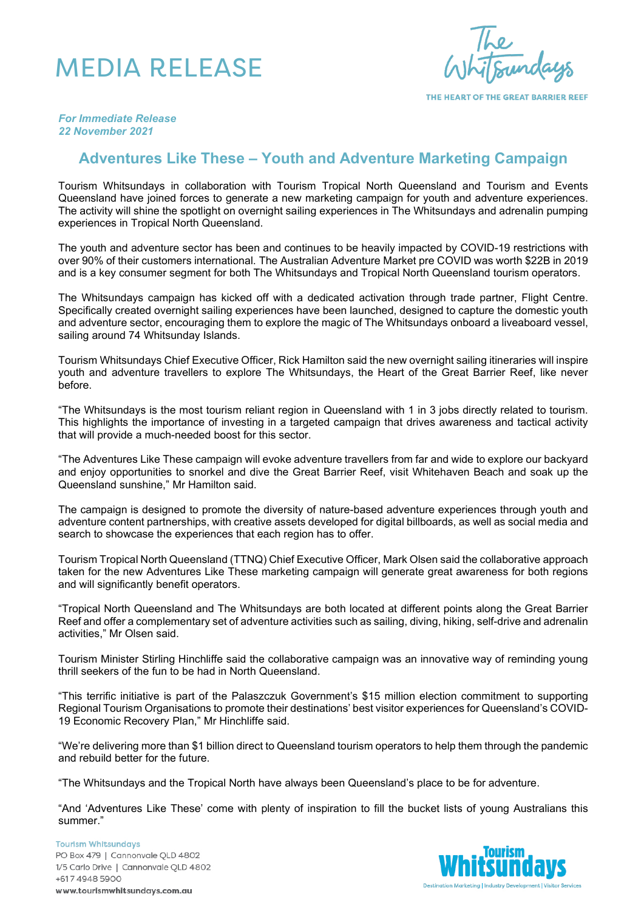## MEDIA RELEASE

THE HEART OF THE GREAT BARRIER REEF

*For Immediate Release 22 November 2021*

## **Adventures Like These – Youth and Adventure Marketing Campaign**

Tourism Whitsundays in collaboration with Tourism Tropical North Queensland and Tourism and Events Queensland have joined forces to generate a new marketing campaign for youth and adventure experiences. The activity will shine the spotlight on overnight sailing experiences in The Whitsundays and adrenalin pumping experiences in Tropical North Queensland.

The youth and adventure sector has been and continues to be heavily impacted by COVID-19 restrictions with over 90% of their customers international. The Australian Adventure Market pre COVID was worth \$22B in 2019 and is a key consumer segment for both The Whitsundays and Tropical North Queensland tourism operators.

The Whitsundays campaign has kicked off with a dedicated activation through trade partner, Flight Centre. Specifically created overnight sailing experiences have been launched, designed to capture the domestic youth and adventure sector, encouraging them to explore the magic of The Whitsundays onboard a liveaboard vessel, sailing around 74 Whitsunday Islands.

Tourism Whitsundays Chief Executive Officer, Rick Hamilton said the new overnight sailing itineraries will inspire youth and adventure travellers to explore The Whitsundays, the Heart of the Great Barrier Reef, like never before.

"The Whitsundays is the most tourism reliant region in Queensland with 1 in 3 jobs directly related to tourism. This highlights the importance of investing in a targeted campaign that drives awareness and tactical activity that will provide a much-needed boost for this sector.

"The Adventures Like These campaign will evoke adventure travellers from far and wide to explore our backyard and enjoy opportunities to snorkel and dive the Great Barrier Reef, visit Whitehaven Beach and soak up the Queensland sunshine," Mr Hamilton said.

The campaign is designed to promote the diversity of nature-based adventure experiences through youth and adventure content partnerships, with creative assets developed for digital billboards, as well as social media and search to showcase the experiences that each region has to offer.

Tourism Tropical North Queensland (TTNQ) Chief Executive Officer, Mark Olsen said the collaborative approach taken for the new Adventures Like These marketing campaign will generate great awareness for both regions and will significantly benefit operators.

"Tropical North Queensland and The Whitsundays are both located at different points along the Great Barrier Reef and offer a complementary set of adventure activities such as sailing, diving, hiking, self-drive and adrenalin activities," Mr Olsen said.

Tourism Minister Stirling Hinchliffe said the collaborative campaign was an innovative way of reminding young thrill seekers of the fun to be had in North Queensland.

"This terrific initiative is part of the Palaszczuk Government's \$15 million election commitment to supporting Regional Tourism Organisations to promote their destinations' best visitor experiences for Queensland's COVID-19 Economic Recovery Plan," Mr Hinchliffe said.

"We're delivering more than \$1 billion direct to Queensland tourism operators to help them through the pandemic and rebuild better for the future.

"The Whitsundays and the Tropical North have always been Queensland's place to be for adventure.

"And 'Adventures Like These' come with plenty of inspiration to fill the bucket lists of young Australians this summer."

**Tourism Whitsundays** PO Box 479 | Cannonvale QLD 4802 1/5 Carlo Drive | Cannonvale QLD 4802 +617 4948 5900 www.tourismwhitsundays.com.au